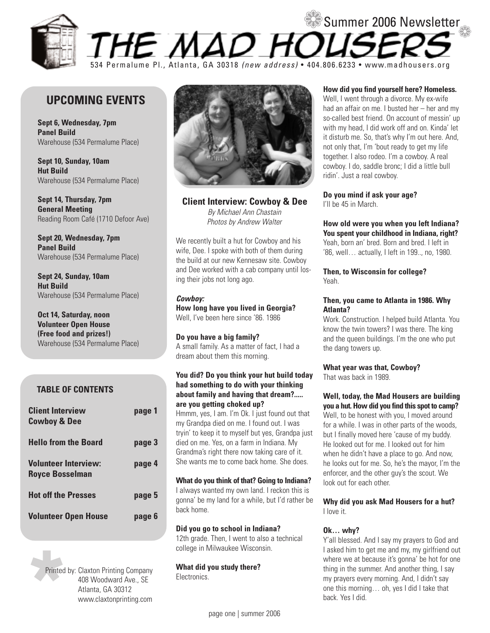

### **UPCOMING EVENTS**

**Sept 6, Wednesday, 7pm Panel Build** Warehouse (534 Permalume Place)

**Sept 10, Sunday, 10am Hut Build** Warehouse (534 Permalume Place)

**Sept 14, Thursday, 7pm General Meeting** Reading Room Café (1710 Defoor Ave)

**Sept 20, Wednesday, 7pm Panel Build** Warehouse (534 Permalume Place)

**Sept 24, Sunday, 10am Hut Build** Warehouse (534 Permalume Place)

**Oct 14, Saturday, noon Volunteer Open House (Free food and prizes!)** Warehouse (534 Permalume Place)

#### **TABLE OF CONTENTS**

| <b>Client Interview</b><br><b>Cowboy &amp; Dee</b>    | page 1 |
|-------------------------------------------------------|--------|
| <b>Hello from the Board</b>                           | page 3 |
| <b>Volunteer Interview:</b><br><b>Royce Bosselman</b> | page 4 |
| <b>Hot off the Presses</b>                            | page 5 |
| <b>Volunteer Open House</b>                           | page b |

Printed<br>Printed<br>Started<br>Started<br>Started<br>Started<br>Started<br>Started<br>Started<br>Started<br>Started<br>Started<br>Started<br>Started<br>Started<br>Started<br>Started<br>Started<br>Started<br>Started<br>Started<br>Started<br>Started<br>Started<br>Started<br> Printed by: Claxton Printing Company 408 Woodward Ave., SE Atlanta, GA 30312 www.claxtonprinting.com



**Client Interview: Cowboy & Dee** By Michael Ann Chastain Photos by Andrew Walter

We recently built a hut for Cowboy and his wife, Dee. I spoke with both of them during the build at our new Kennesaw site. Cowboy and Dee worked with a cab company until losing their jobs not long ago.

#### **Cowboy:**

**How long have you lived in Georgia?** Well, I've been here since '86. 1986

#### **Do you have a big family?**

A small family. As a matter of fact, I had a dream about them this morning.

#### **You did? Do you think your hut build today had something to do with your thinking about family and having that dream?..... are you getting choked up?**

Hmmm, yes, I am. I'm Ok. I just found out that my Grandpa died on me. I found out. I was tryin' to keep it to myself but yes, Grandpa just died on me. Yes, on a farm in Indiana. My Grandma's right there now taking care of it. She wants me to come back home. She does.

**What do you think of that? Going to Indiana?** I always wanted my own land. I reckon this is gonna' be my land for a while, but I'd rather be back home.

#### **Did you go to school in Indiana?**

12th grade. Then, I went to also a technical college in Milwaukee Wisconsin.

**What did you study there?** Electronics.

#### **How did you find yourself here? Homeless.**

Well, I went through a divorce. My ex-wife had an affair on me. I busted her – her and my so-called best friend. On account of messin' up with my head, I did work off and on. Kinda' let it disturb me. So, that's why I'm out here. And, not only that, I'm 'bout ready to get my life together. I also rodeo. I'm a cowboy. A real cowboy. I do, saddle bronc; I did a little bull ridin'. Just a real cowboy.

**Do you mind if ask your age?** I'll be 45 in March.

**How old were you when you left Indiana? You spent your childhood in Indiana, right?** Yeah, born an' bred. Born and bred. I left in '86, well… actually, I left in 199.., no, 1980.

#### **Then, to Wisconsin for college?** Yeah.

#### **Then, you came to Atlanta in 1986. Why Atlanta?**

Work. Construction. I helped build Atlanta. You know the twin towers? I was there. The king and the queen buildings. I'm the one who put the dang towers up.

#### **What year was that, Cowboy?** That was back in 1989.

**Well, today, the Mad Housers are building you a hut. How did you find this spot to camp?**

Well, to be honest with you, I moved around for a while. I was in other parts of the woods, but I finally moved here 'cause of my buddy. He looked out for me. I looked out for him when he didn't have a place to go. And now, he looks out for me. So, he's the mayor, I'm the enforcer, and the other guy's the scout. We look out for each other.

**Why did you ask Mad Housers for a hut?** I love it.

#### **Ok… why?**

Y'all blessed. And I say my prayers to God and I asked him to get me and my, my girlfriend out where we at because it's gonna' be hot for one thing in the summer. And another thing, I say my prayers every morning. And, I didn't say one this morning… oh, yes I did I take that back. Yes I did.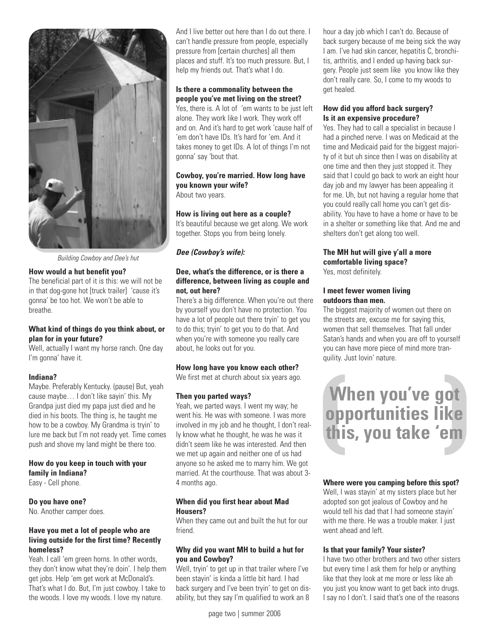

Building Cowboy and Dee's hut

#### **How would a hut benefit you?**

The beneficial part of it is this: we will not be in that dog-gone hot [truck trailer] 'cause it's gonna' be too hot. We won't be able to breathe.

#### **What kind of things do you think about, or plan for in your future?**

Well, actually I want my horse ranch. One day I'm gonna' have it.

#### **Indiana?**

Maybe. Preferably Kentucky. (pause) But, yeah cause maybe… I don't like sayin' this. My Grandpa just died my papa just died and he died in his boots. The thing is, he taught me how to be a cowboy. My Grandma is tryin' to lure me back but I'm not ready yet. Time comes push and shove my land might be there too.

#### **How do you keep in touch with your family in Indiana?**

Easy - Cell phone.

#### **Do you have one?**

No. Another camper does.

#### **Have you met a lot of people who are living outside for the first time? Recently homeless?**

Yeah. I call 'em green horns. In other words, they don't know what they're doin'. I help them get jobs. Help 'em get work at McDonald's. That's what I do. But, I'm just cowboy. I take to the woods. I love my woods. I love my nature.

And I live better out here than I do out there. I can't handle pressure from people, especially pressure from [certain churches] all them places and stuff. It's too much pressure. But, I help my friends out. That's what I do.

#### **Is there a commonality between the people you've met living on the street?**

Yes, there is. A lot of 'em wants to be just left alone. They work like I work. They work off and on. And it's hard to get work 'cause half of 'em don't have IDs. It's hard for 'em. And it takes money to get IDs. A lot of things I'm not gonna' say 'bout that.

#### **Cowboy, you're married. How long have you known your wife?** About two years.

#### **How is living out here as a couple?**

It's beautiful because we get along. We work together. Stops you from being lonely.

#### **Dee (Cowboy's wife):**

#### **Dee, what's the difference, or is there a difference, between living as couple and not, out here?**

There's a big difference. When you're out there by yourself you don't have no protection. You have a lot of people out there tryin' to get you to do this; tryin' to get you to do that. And when you're with someone you really care about, he looks out for you.

#### **How long have you know each other?**

We first met at church about six years ago.

#### **Then you parted ways?**

Yeah, we parted ways. I went my way; he went his. He was with someone. I was more involved in my job and he thought, I don't really know what he thought, he was he was it didn't seem like he was interested. And then we met up again and neither one of us had anyone so he asked me to marry him. We got married. At the courthouse. That was about 3- 4 months ago.

#### **When did you first hear about Mad Housers?**

When they came out and built the hut for our friend.

#### **Why did you want MH to build a hut for you and Cowboy?**

Well, tryin' to get up in that trailer where I've been stayin' is kinda a little bit hard. I had back surgery and I've been tryin' to get on disability, but they say I'm qualified to work an 8

page two | summer 2006

hour a day job which I can't do. Because of back surgery because of me being sick the way I am. I've had skin cancer, hepatitis C, bronchitis, arthritis, and I ended up having back surgery. People just seem like you know like they don't really care. So, I come to my woods to get healed.

#### **How did you afford back surgery? Is it an expensive procedure?**

Yes. They had to call a specialist in because I had a pinched nerve. I was on Medicaid at the time and Medicaid paid for the biggest majority of it but uh since then I was on disability at one time and then they just stopped it. They said that I could go back to work an eight hour day job and my lawyer has been appealing it for me. Uh, but not having a regular home that you could really call home you can't get disability. You have to have a home or have to be in a shelter or something like that. And me and shelters don't get along too well.

### **The MH hut will give y'all a more comfortable living space?**

Yes, most definitely.

#### **I meet fewer women living outdoors than men.**

The biggest majority of women out there on the streets are, excuse me for saying this, women that sell themselves. That fall under Satan's hands and when you are off to yourself you can have more piece of mind more tranquility. Just lovin' nature.



#### **Where were you camping before this spot?**

Well, I was stayin' at my sisters place but her adopted son got jealous of Cowboy and he would tell his dad that I had someone stayin' with me there. He was a trouble maker. I just went ahead and left.

#### **Is that your family? Your sister?**

I have two other brothers and two other sisters but every time I ask them for help or anything like that they look at me more or less like ah you just you know want to get back into drugs. I say no I don't. I said that's one of the reasons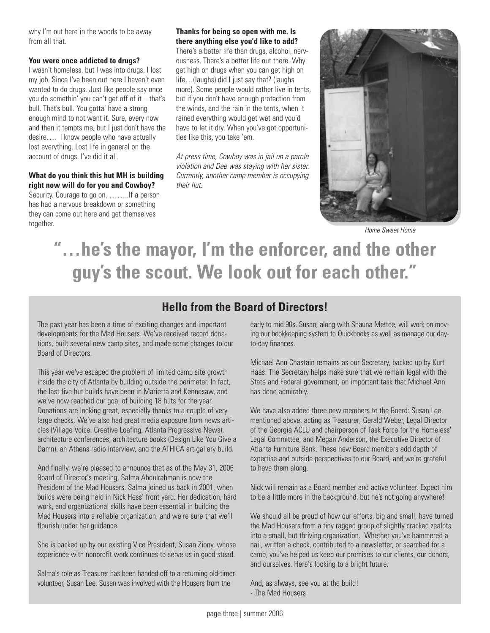why I'm out here in the woods to be away from all that.

#### **You were once addicted to drugs?**

I wasn't homeless, but I was into drugs. I lost my job. Since I've been out here I haven't even wanted to do drugs. Just like people say once you do somethin' you can't get off of it  $-$  that's bull. That's bull. You gotta' have a strong enough mind to not want it. Sure, every now and then it tempts me, but I just don't have the desire…. I know people who have actually lost everything. Lost life in general on the account of drugs. I've did it all.

#### **What do you think this hut MH is building right now will do for you and Cowboy?**

Security. Courage to go on. ……..If a person has had a nervous breakdown or something they can come out here and get themselves together.

#### **Thanks for being so open with me. Is there anything else you'd like to add?**

There's a better life than drugs, alcohol, nervousness. There's a better life out there. Why get high on drugs when you can get high on life…(laughs) did I just say that? (laughs more). Some people would rather live in tents, but if you don't have enough protection from the winds, and the rain in the tents, when it rained everything would get wet and you'd have to let it dry. When you've got opportunities like this, you take 'em.

At press time, Cowboy was in jail on a parole violation and Dee was staying with her sister. Currently, another camp member is occupying their hut.



Home Sweet Home

# **"…he's the mayor, I'm the enforcer, and the other guy's the scout. We look out for each other."**

## **Hello from the Board of Directors!**

The past year has been a time of exciting changes and important developments for the Mad Housers. We've received record donations, built several new camp sites, and made some changes to our Board of Directors.

This year we've escaped the problem of limited camp site growth inside the city of Atlanta by building outside the perimeter. In fact, the last five hut builds have been in Marietta and Kennesaw, and we've now reached our goal of building 18 huts for the year. Donations are looking great, especially thanks to a couple of very large checks. We've also had great media exposure from news articles (Village Voice, Creative Loafing, Atlanta Progressive News), architecture conferences, architecture books (Design Like You Give a Damn), an Athens radio interview, and the ATHICA art gallery build.

And finally, we're pleased to announce that as of the May 31, 2006 Board of Director's meeting, Salma Abdulrahman is now the President of the Mad Housers. Salma joined us back in 2001, when builds were being held in Nick Hess' front yard. Her dedication, hard work, and organizational skills have been essential in building the Mad Housers into a reliable organization, and we're sure that we'll flourish under her guidance.

She is backed up by our existing Vice President, Susan Ziony, whose experience with nonprofit work continues to serve us in good stead.

Salma's role as Treasurer has been handed off to a returning old-timer volunteer, Susan Lee. Susan was involved with the Housers from the

early to mid 90s. Susan, along with Shauna Mettee, will work on moving our bookkeeping system to Quickbooks as well as manage our dayto-day finances.

Michael Ann Chastain remains as our Secretary, backed up by Kurt Haas. The Secretary helps make sure that we remain legal with the State and Federal government, an important task that Michael Ann has done admirably.

We have also added three new members to the Board: Susan Lee, mentioned above, acting as Treasurer; Gerald Weber, Legal Director of the Georgia ACLU and chairperson of Task Force for the Homeless' Legal Committee; and Megan Anderson, the Executive Director of Atlanta Furniture Bank. These new Board members add depth of expertise and outside perspectives to our Board, and we're grateful to have them along.

Nick will remain as a Board member and active volunteer. Expect him to be a little more in the background, but he's not going anywhere!

We should all be proud of how our efforts, big and small, have turned the Mad Housers from a tiny ragged group of slightly cracked zealots into a small, but thriving organization. Whether you've hammered a nail, written a check, contributed to a newsletter, or searched for a camp, you've helped us keep our promises to our clients, our donors, and ourselves. Here's looking to a bright future.

And, as always, see you at the build! - The Mad Housers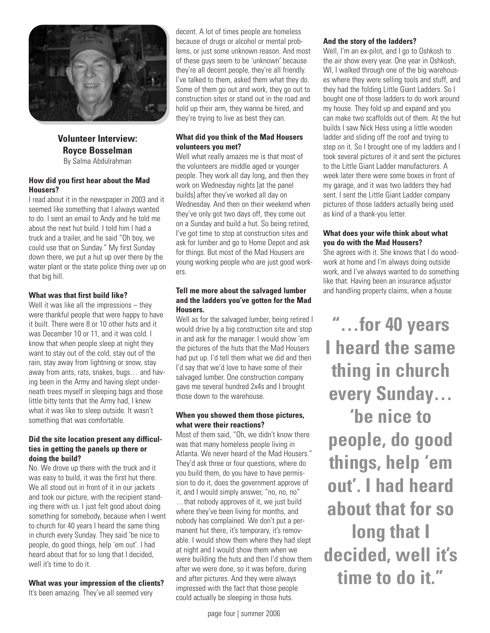

### **Volunteer Interview: Royce Bosselman**

By Salma Abdulrahman

#### **How did you first hear about the Mad Housers?**

I read about it in the newspaper in 2003 and it seemed like something that I always wanted to do. I sent an email to Andy and he told me about the next hut build. I told him I had a truck and a trailer, and he said "Oh boy, we could use that on Sunday." My first Sunday down there, we put a hut up over there by the water plant or the state police thing over up on that big hill.

#### **What was that first build like?**

Well it was like all the impressions – they were thankful people that were happy to have it built. There were 8 or 10 other huts and it was December 10 or 11, and it was cold. I know that when people sleep at night they want to stay out of the cold, stay out of the rain, stay away from lightning or snow, stay away from ants, rats, snakes, bugs… and having been in the Army and having slept underneath trees myself in sleeping bags and those little bitty tents that the Army had, I knew what it was like to sleep outside. It wasn't something that was comfortable.

#### **Did the site location present any difficulties in getting the panels up there or doing the build?**

No. We drove up there with the truck and it was easy to build, it was the first hut there. We all stood out in front of it in our jackets and took our picture, with the recipient standing there with us. I just felt good about doing something for somebody, because when I went to church for 40 years I heard the same thing in church every Sunday. They said 'be nice to people, do good things, help 'em out'. I had heard about that for so long that I decided, well it's time to do it.

**What was your impression of the clients?**

It's been amazing. They've all seemed very

decent. A lot of times people are homeless because of drugs or alcohol or mental problems, or just some unknown reason. And most of these guys seem to be 'unknown' because they're all decent people, they're all friendly. I've talked to them, asked them what they do. Some of them go out and work, they go out to construction sites or stand out in the road and hold up their arm, they wanna be hired, and they're trying to live as best they can.

#### **What did you think of the Mad Housers volunteers you met?**

Well what really amazes me is that most of the volunteers are middle aged or younger people. They work all day long, and then they work on Wednesday nights [at the panel builds] after they've worked all day on Wednesday. And then on their weekend when they've only got two days off, they come out on a Sunday and build a hut. So being retired, I've got time to stop at construction sites and ask for lumber and go to Home Depot and ask for things. But most of the Mad Housers are young working people who are just good workers.

#### **Tell me more about the salvaged lumber and the ladders you've gotten for the Mad Housers.**

Well as for the salvaged lumber, being retired I would drive by a big construction site and stop in and ask for the manager. I would show 'em the pictures of the huts that the Mad Housers had put up. I'd tell them what we did and then I'd say that we'd love to have some of their salvaged lumber. One construction company gave me several hundred 2x4s and I brought those down to the warehouse.

#### **When you showed them those pictures, what were their reactions?**

Most of them said, "Oh, we didn't know there was that many homeless people living in Atlanta. We never heard of the Mad Housers." They'd ask three or four questions, where do you build them, do you have to have permission to do it, does the government approve of it, and I would simply answer, "no, no, no" …that nobody approves of it, we just build where they've been living for months, and nobody has complained. We don't put a permanent hut there, it's temporary, it's removable. I would show them where they had slept at night and I would show them when we were building the huts and then I'd show them after we were done, so it was before, during and after pictures. And they were always impressed with the fact that those people could actually be sleeping in those huts.

#### **And the story of the ladders?**

Well, I'm an ex-pilot, and I go to Oshkosh to the air show every year. One year in Oshkosh, WI, I walked through one of the big warehouses where they were selling tools and stuff, and they had the folding Little Giant Ladders. So I bought one of those ladders to do work around my house. They fold up and expand and you can make two scaffolds out of them. At the hut builds I saw Nick Hess using a little wooden ladder and sliding off the roof and trying to step on it. So I brought one of my ladders and I took several pictures of it and sent the pictures to the Little Giant Ladder manufacturers. A week later there were some boxes in front of my garage, and it was two ladders they had sent. I sent the Little Giant Ladder company pictures of those ladders actually being used as kind of a thank-you letter.

#### **What does your wife think about what you do with the Mad Housers?**

She agrees with it. She knows that I do woodwork at home and I'm always doing outside work, and I've always wanted to do something like that. Having been an insurance adjustor and handling property claims, when a house

**"…for 40 years I heard the same thing in church every Sunday… 'be nice to people, do good things, help 'em out'. I had heard about that for so long that I decided, well it's time to do it."**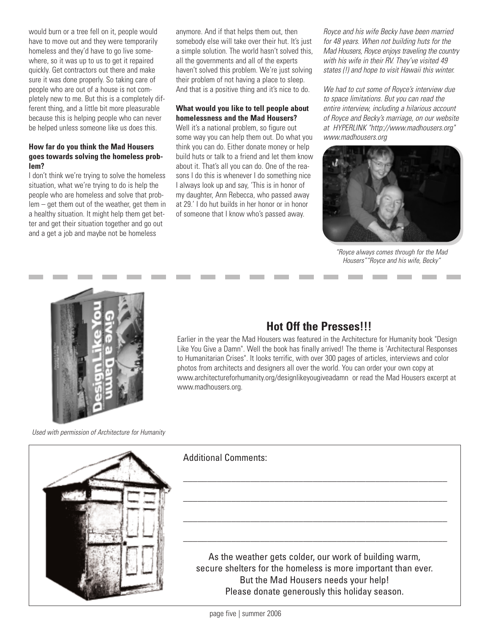would burn or a tree fell on it, people would have to move out and they were temporarily homeless and they'd have to go live somewhere, so it was up to us to get it repaired quickly. Get contractors out there and make sure it was done properly. So taking care of people who are out of a house is not completely new to me. But this is a completely different thing, and a little bit more pleasurable because this is helping people who can never be helped unless someone like us does this.

#### **How far do you think the Mad Housers goes towards solving the homeless problem?**

I don't think we're trying to solve the homeless situation, what we're trying to do is help the people who are homeless and solve that problem – get them out of the weather, get them in a healthy situation. It might help them get better and get their situation together and go out and a get a job and maybe not be homeless

anymore. And if that helps them out, then somebody else will take over their hut. It's just a simple solution. The world hasn't solved this, all the governments and all of the experts haven't solved this problem. We're just solving their problem of not having a place to sleep. And that is a positive thing and it's nice to do.

#### **What would you like to tell people about homelessness and the Mad Housers?**

Well it's a national problem, so figure out some way you can help them out. Do what you think you can do. Either donate money or help build huts or talk to a friend and let them know about it. That's all you can do. One of the reasons I do this is whenever I do something nice I always look up and say, 'This is in honor of my daughter, Ann Rebecca, who passed away at 29.' I do hut builds in her honor or in honor of someone that I know who's passed away.

Royce and his wife Becky have been married for 48 years. When not building huts for the Mad Housers, Royce enjoys traveling the country with his wife in their RV. They've visited 49 states (!) and hope to visit Hawaii this winter.

We had to cut some of Royce's interview due to space limitations. But you can read the entire interview, including a hilarious account of Royce and Becky's marriage, on our website at HYPERLINK "http://www.madhousers.org" www.madhousers.org



"Royce always comes through for the Mad Housers""Royce and his wife, Becky"



# **Hot Off the Presses!!!**

Earlier in the year the Mad Housers was featured in the Architecture for Humanity book "Design Like You Give a Damn". Well the book has finally arrived! The theme is 'Architectural Responses to Humanitarian Crises". It looks terrific, with over 300 pages of articles, interviews and color photos from architects and designers all over the world. You can order your own copy at www.architectureforhumanity.org/designlikeyougiveadamn or read the Mad Housers excerpt at www.madhousers.org.

Used with permission of Architecture for Humanity



As the weather gets colder, our work of building warm, secure shelters for the homeless is more important than ever. But the Mad Housers needs your help! Please donate generously this holiday season. Additional Comments: \_\_\_\_\_\_\_\_\_\_\_\_\_\_\_\_\_\_\_\_\_\_\_\_\_\_\_\_\_\_\_\_\_\_\_\_\_\_\_\_\_\_\_\_\_\_\_\_\_\_\_\_\_\_\_ \_\_\_\_\_\_\_\_\_\_\_\_\_\_\_\_\_\_\_\_\_\_\_\_\_\_\_\_\_\_\_\_\_\_\_\_\_\_\_\_\_\_\_\_\_\_\_\_\_\_\_\_\_\_\_ \_\_\_\_\_\_\_\_\_\_\_\_\_\_\_\_\_\_\_\_\_\_\_\_\_\_\_\_\_\_\_\_\_\_\_\_\_\_\_\_\_\_\_\_\_\_\_\_\_\_\_\_\_\_\_ \_\_\_\_\_\_\_\_\_\_\_\_\_\_\_\_\_\_\_\_\_\_\_\_\_\_\_\_\_\_\_\_\_\_\_\_\_\_\_\_\_\_\_\_\_\_\_\_\_\_\_\_\_\_\_